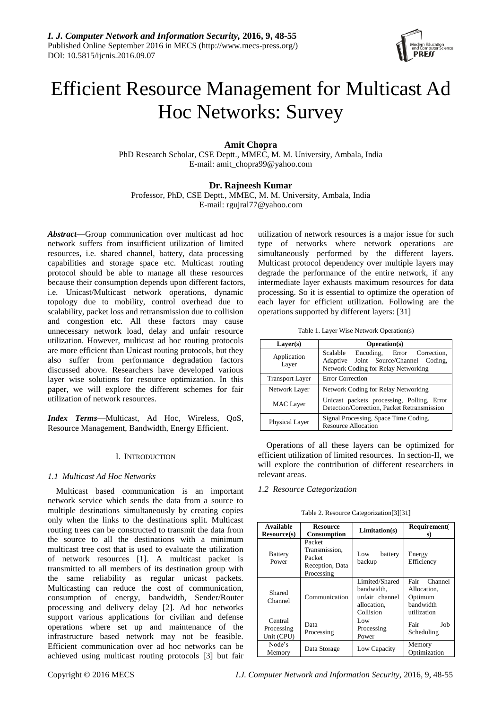

# Efficient Resource Management for Multicast Ad Hoc Networks: Survey

# **Amit Chopra**

PhD Research Scholar, CSE Deptt., MMEC, M. M. University, Ambala, India E-mail: amit\_chopra99@yahoo.com

## **Dr. Rajneesh Kumar**

Professor, PhD, CSE Deptt., MMEC, M. M. University, Ambala, India E-mail: rgujral77@yahoo.com

*Abstract*—Group communication over multicast ad hoc network suffers from insufficient utilization of limited resources, i.e. shared channel, battery, data processing capabilities and storage space etc. Multicast routing protocol should be able to manage all these resources because their consumption depends upon different factors, i.e. Unicast/Multicast network operations, dynamic topology due to mobility, control overhead due to scalability, packet loss and retransmission due to collision and congestion etc. All these factors may cause unnecessary network load, delay and unfair resource utilization. However, multicast ad hoc routing protocols are more efficient than Unicast routing protocols, but they also suffer from performance degradation factors discussed above. Researchers have developed various layer wise solutions for resource optimization. In this paper, we will explore the different schemes for fair utilization of network resources.

*Index Terms*—Multicast, Ad Hoc, Wireless, QoS, Resource Management, Bandwidth, Energy Efficient.

## I. INTRODUCTION

## *1.1 Multicast Ad Hoc Networks*

Multicast based communication is an important network service which sends the data from a source to multiple destinations simultaneously by creating copies only when the links to the destinations split. Multicast routing trees can be constructed to transmit the data from the source to all the destinations with a minimum multicast tree cost that is used to evaluate the utilization of network resources [1]. A multicast packet is transmitted to all members of its destination group with the same reliability as regular unicast packets. Multicasting can reduce the cost of communication, consumption of energy, bandwidth, Sender/Router processing and delivery delay [2]. Ad hoc networks support various applications for civilian and defense operations where set up and maintenance of the infrastructure based network may not be feasible. Efficient communication over ad hoc networks can be achieved using multicast routing protocols [3] but fair utilization of network resources is a major issue for such type of networks where network operations are simultaneously performed by the different layers. Multicast protocol dependency over multiple layers may degrade the performance of the entire network, if any intermediate layer exhausts maximum resources for data processing. So it is essential to optimize the operation of each layer for efficient utilization. Following are the operations supported by different layers: [31]

Table 1. Layer Wise Network Operation(s)

| Layer(s)               | Operation(s)                                                                                                               |  |  |
|------------------------|----------------------------------------------------------------------------------------------------------------------------|--|--|
| Application<br>Layer   | Scalable<br>Encoding, Error Correction,<br>Adaptive Joint Source/Channel<br>Coding.<br>Network Coding for Relay Networking |  |  |
| <b>Transport Layer</b> | <b>Error Correction</b>                                                                                                    |  |  |
| Network Layer          | Network Coding for Relay Networking                                                                                        |  |  |
| <b>MAC</b> Layer       | Unicast packets processing, Polling, Error<br>Detection/Correction, Packet Retransmission                                  |  |  |
| Physical Layer         | Signal Processing, Space Time Coding,<br><b>Resource Allocation</b>                                                        |  |  |

Operations of all these layers can be optimized for efficient utilization of limited resources. In section-II, we will explore the contribution of different researchers in relevant areas.

#### *1.2 Resource Categorization*

| <b>Available</b><br><b>Resource</b> (s) | <b>Resource</b><br>Consumption                                     | Limitation(s)                                                              | Requirement(<br>s)                                                    |
|-----------------------------------------|--------------------------------------------------------------------|----------------------------------------------------------------------------|-----------------------------------------------------------------------|
| <b>Battery</b><br>Power                 | Packet<br>Transmission,<br>Packet<br>Reception, Data<br>Processing | battery<br>Low<br>backup                                                   | Energy<br>Efficiency                                                  |
| Shared<br>Channel                       | Communication                                                      | Limited/Shared<br>bandwidth.<br>unfair channel<br>allocation.<br>Collision | Fair<br>Channel<br>Allocation.<br>Optimum<br>bandwidth<br>utilization |
| Central<br>Processing<br>Unit (CPU)     | Data<br>Processing                                                 | Low<br>Processing<br>Power                                                 | Job<br>Fair<br>Scheduling                                             |
| Node's<br>Memory                        | Data Storage                                                       | Low Capacity                                                               | Memory<br>Optimization                                                |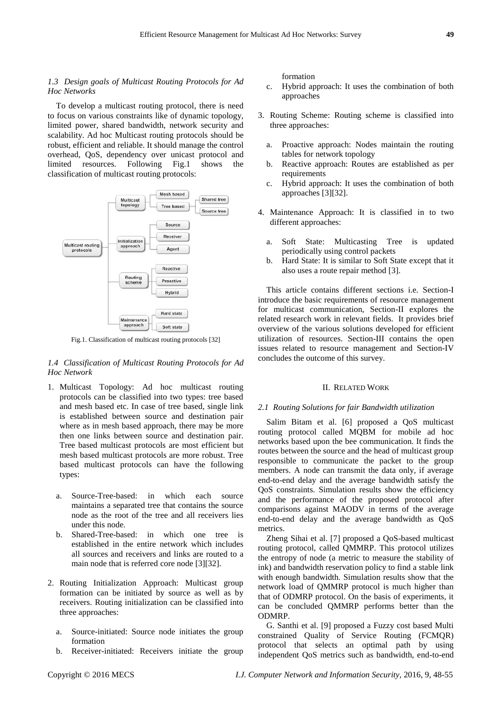## *1.3 Design goals of Multicast Routing Protocols for Ad Hoc Networks*

To develop a multicast routing protocol, there is need to focus on various constraints like of dynamic topology, limited power, shared bandwidth, network security and scalability. Ad hoc Multicast routing protocols should be robust, efficient and reliable. It should manage the control overhead, QoS, dependency over unicast protocol and limited resources. Following Fig.1 shows the classification of multicast routing protocols:



Fig.1. Classification of multicast routing protocols [32]

## *1.4 Classification of Multicast Routing Protocols for Ad Hoc Network*

- 1. Multicast Topology: Ad hoc multicast routing protocols can be classified into two types: tree based and mesh based etc. In case of tree based, single link is established between source and destination pair where as in mesh based approach, there may be more then one links between source and destination pair. Tree based multicast protocols are most efficient but mesh based multicast protocols are more robust. Tree based multicast protocols can have the following types:
	- a. Source-Tree-based: in which each source maintains a separated tree that contains the source node as the root of the tree and all receivers lies under this node.
	- b. Shared-Tree-based: in which one tree is established in the entire network which includes all sources and receivers and links are routed to a main node that is referred core node [3][32].
- 2. Routing Initialization Approach: Multicast group formation can be initiated by source as well as by receivers. Routing initialization can be classified into three approaches:
	- a. Source-initiated: Source node initiates the group formation
	- b. Receiver-initiated: Receivers initiate the group

formation

- c. Hybrid approach: It uses the combination of both approaches
- 3. Routing Scheme: Routing scheme is classified into three approaches:
	- a. Proactive approach: Nodes maintain the routing tables for network topology
	- b. Reactive approach: Routes are established as per requirements
	- c. Hybrid approach: It uses the combination of both approaches [3][32].
- 4. Maintenance Approach: It is classified in to two different approaches:
	- a. Soft State: Multicasting Tree is updated periodically using control packets
	- b. Hard State: It is similar to Soft State except that it also uses a route repair method [3].

This article contains different sections i.e. Section-I introduce the basic requirements of resource management for multicast communication, Section-II explores the related research work in relevant fields. It provides brief overview of the various solutions developed for efficient utilization of resources. Section-III contains the open issues related to resource management and Section-IV concludes the outcome of this survey.

#### II. RELATED WORK

#### *2.1 Routing Solutions for fair Bandwidth utilization*

Salim Bitam et al. [6] proposed a QoS multicast routing protocol called MQBM for mobile ad hoc networks based upon the bee communication. It finds the routes between the source and the head of multicast group responsible to communicate the packet to the group members. A node can transmit the data only, if average end-to-end delay and the average bandwidth satisfy the QoS constraints. Simulation results show the efficiency and the performance of the proposed protocol after comparisons against MAODV in terms of the average end-to-end delay and the average bandwidth as QoS metrics.

Zheng Sihai et al. [7] proposed a QoS-based multicast routing protocol, called QMMRP. This protocol utilizes the entropy of node (a metric to measure the stability of ink) and bandwidth reservation policy to find a stable link with enough bandwidth. Simulation results show that the network load of QMMRP protocol is much higher than that of ODMRP protocol. On the basis of experiments, it can be concluded QMMRP performs better than the ODMRP.

G. Santhi et al. [9] proposed a Fuzzy cost based Multi constrained Quality of Service Routing (FCMQR) protocol that selects an optimal path by using independent QoS metrics such as bandwidth, end-to-end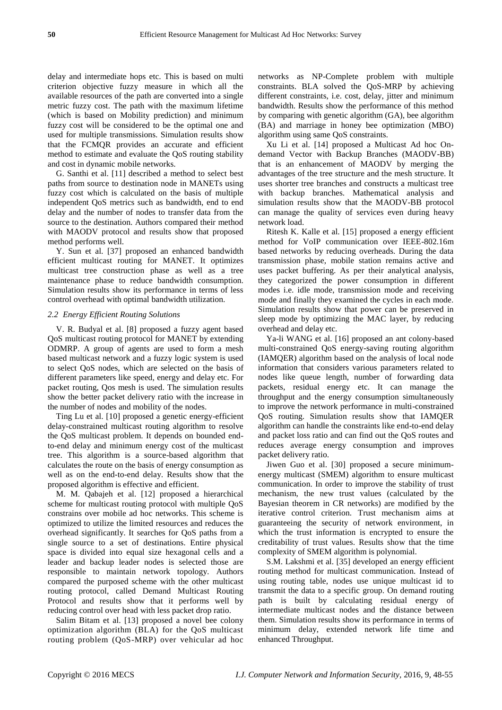delay and intermediate hops etc. This is based on multi criterion objective fuzzy measure in which all the available resources of the path are converted into a single metric fuzzy cost. The path with the maximum lifetime (which is based on Mobility prediction) and minimum fuzzy cost will be considered to be the optimal one and used for multiple transmissions. Simulation results show that the FCMQR provides an accurate and efficient method to estimate and evaluate the QoS routing stability and cost in dynamic mobile networks.

G. Santhi et al. [11] described a method to select best paths from source to destination node in MANETs using fuzzy cost which is calculated on the basis of multiple independent QoS metrics such as bandwidth, end to end delay and the number of nodes to transfer data from the source to the destination. Authors compared their method with MAODV protocol and results show that proposed method performs well.

Y. Sun et al. [37] proposed an enhanced bandwidth efficient multicast routing for MANET. It optimizes multicast tree construction phase as well as a tree maintenance phase to reduce bandwidth consumption. Simulation results show its performance in terms of less control overhead with optimal bandwidth utilization.

#### *2.2 Energy Efficient Routing Solutions*

V. R. Budyal et al. [8] proposed a fuzzy agent based QoS multicast routing protocol for MANET by extending ODMRP. A group of agents are used to form a mesh based multicast network and a fuzzy logic system is used to select QoS nodes, which are selected on the basis of different parameters like speed, energy and delay etc. For packet routing, Qos mesh is used. The simulation results show the better packet delivery ratio with the increase in the number of nodes and mobility of the nodes.

Ting Lu et al. [10] proposed a genetic energy-efficient delay-constrained multicast routing algorithm to resolve the QoS multicast problem. It depends on bounded endto-end delay and minimum energy cost of the multicast tree. This algorithm is a source-based algorithm that calculates the route on the basis of energy consumption as well as on the end-to-end delay. Results show that the proposed algorithm is effective and efficient.

M. M. Qabajeh et al. [12] proposed a hierarchical scheme for multicast routing protocol with multiple QoS constrains over mobile ad hoc networks. This scheme is optimized to utilize the limited resources and reduces the overhead significantly. It searches for QoS paths from a single source to a set of destinations. Entire physical space is divided into equal size hexagonal cells and a leader and backup leader nodes is selected those are responsible to maintain network topology. Authors compared the purposed scheme with the other multicast routing protocol, called Demand Multicast Routing Protocol and results show that it performs well by reducing control over head with less packet drop ratio.

Salim Bitam et al. [13] proposed a novel bee colony optimization algorithm (BLA) for the QoS multicast routing problem (QoS-MRP) over vehicular ad hoc networks as NP-Complete problem with multiple constraints. BLA solved the QoS-MRP by achieving different constraints, i.e. cost, delay, jitter and minimum bandwidth. Results show the performance of this method by comparing with genetic algorithm (GA), bee algorithm (BA) and marriage in honey bee optimization (MBO) algorithm using same QoS constraints.

[Xu Li](http://ieeexplore.ieee.org/search/searchresult.jsp?searchWithin=p_Authors:.QT.Xu%20Li.QT.&newsearch=true) et al. [14] proposed a Multicast Ad hoc Ondemand Vector with Backup Branches (MAODV-BB) that is an enhancement of MAODV by merging the advantages of the tree structure and the mesh structure. It uses shorter tree branches and constructs a multicast tree with backup branches. Mathematical analysis and simulation results show that the MAODV-BB protocol can manage the quality of services even during heavy network load.

Ritesh K. Kalle et al. [15] proposed a energy efficient method for VoIP communication over IEEE-802.16m based networks by reducing overheads. During the data transmission phase, mobile station remains active and uses packet buffering. As per their analytical analysis, they categorized the power consumption in different modes i.e. idle mode, transmission mode and receiving mode and finally they examined the cycles in each mode. Simulation results show that power can be preserved in sleep mode by optimizing the MAC layer, by reducing overhead and delay etc.

[Ya-li WANG](http://www.sciencedirect.com/science/article/pii/S1005888514602673) et al. [16] proposed an ant colony-based multi-constrained QoS energy-saving routing algorithm (IAMQER) algorithm based on the analysis of local node information that considers various parameters related to nodes like queue length, number of forwarding data packets, residual energy etc. It can manage the throughput and the energy consumption simultaneously to improve the network performance in multi-constrained QoS routing. Simulation results show that IAMQER algorithm can handle the constraints like end-to-end delay and packet loss ratio and can find out the QoS routes and reduces average energy consumption and improves packet delivery ratio.

Jiwen Guo et al. [30] proposed a secure minimumenergy multicast (SMEM) algorithm to ensure multicast communication. In order to improve the stability of trust mechanism, the new trust values (calculated by the Bayesian theorem in CR networks) are modified by the iterative control criterion. Trust mechanism aims at guaranteeing the security of network environment, in which the trust information is encrypted to ensure the creditability of trust values. Results show that the time complexity of SMEM algorithm is polynomial.

S.M. Lakshmi et al. [35] developed an energy efficient routing method for multicast communication. Instead of using routing table, nodes use unique multicast id to transmit the data to a specific group. On demand routing path is built by calculating residual energy of intermediate multicast nodes and the distance between them. Simulation results show its performance in terms of minimum delay, extended network life time and enhanced Throughput.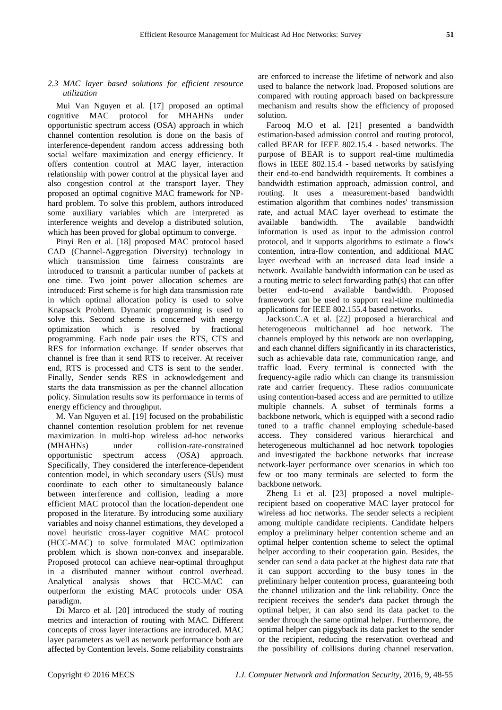## *2.3 MAC layer based solutions for efficient resource utilization*

Mui Van Nguyen et al. [17] proposed an optimal cognitive MAC protocol for MHAHNs under opportunistic spectrum access (OSA) approach in which channel contention resolution is done on the basis of interference-dependent random access addressing both social welfare maximization and energy efficiency. It offers contention control at MAC layer, interaction relationship with power control at the physical layer and also congestion control at the transport layer. They proposed an optimal cognitive MAC framework for NPhard problem. To solve this problem, authors introduced some auxiliary variables which are interpreted as interference weights and develop a distributed solution, which has been proved for global optimum to converge.

Pinyi Ren et al. [18] proposed MAC protocol based CAD (Channel-Aggregation Diversity) technology in which transmission time fairness constraints are introduced to transmit a particular number of packets at one time. Two joint power allocation schemes are introduced: First scheme is for high data transmission rate in which optimal allocation policy is used to solve Knapsack Problem. Dynamic programming is used to solve this. Second scheme is concerned with energy optimization which is resolved by fractional programming. Each node pair uses the RTS, CTS and RES for information exchange. If sender observes that channel is free than it send RTS to receiver. At receiver end, RTS is processed and CTS is sent to the sender. Finally, Sender sends RES in acknowledgement and starts the data transmission as per the channel allocation policy. Simulation results sow its performance in terms of energy efficiency and throughput.

M. Van Nguyen et al. [19] focused on the probabilistic channel contention resolution problem for net revenue maximization in multi-hop wireless ad-hoc networks (MHAHNs) under collision-rate-constrained opportunistic spectrum access (OSA) approach. Specifically, They considered the interference-dependent contention model, in which secondary users (SUs) must coordinate to each other to simultaneously balance between interference and collision, leading a more efficient MAC protocol than the location-dependent one proposed in the literature. By introducing some auxiliary variables and noisy channel estimations, they developed a novel heuristic cross-layer cognitive MAC protocol (HCC-MAC) to solve formulated MAC optimization problem which is shown non-convex and inseparable. Proposed protocol can achieve near-optimal throughput in a distributed manner without control overhead. Analytical analysis shows that HCC-MAC can outperform the existing MAC protocols under OSA paradigm.

Di Marco et al. [20] introduced the study of routing metrics and interaction of routing with MAC. Different concepts of cross layer interactions are introduced. MAC layer parameters as well as network performance both are affected by Contention levels. Some reliability constraints are enforced to increase the lifetime of network and also used to balance the network load. Proposed solutions are compared with routing approach based on backpressure mechanism and results show the efficiency of proposed solution.

Farooq M.O et al. [21] presented a bandwidth estimation-based admission control and routing protocol, called BEAR for IEEE 802.15.4 - based networks. The purpose of BEAR is to support real-time multimedia flows in IEEE 802.15.4 - based networks by satisfying their end-to-end bandwidth requirements. It combines a bandwidth estimation approach, admission control, and routing. It uses a measurement-based bandwidth estimation algorithm that combines nodes' transmission rate, and actual MAC layer overhead to estimate the available bandwidth. The available bandwidth information is used as input to the admission control protocol, and it supports algorithms to estimate a flow's contention, intra-flow contention, and additional MAC layer overhead with an increased data load inside a network. Available bandwidth information can be used as a routing metric to select forwarding path(s) that can offer better end-to-end available bandwidth. Proposed framework can be used to support real-time multimedia applications for IEEE 802.155.4 based networks.

Jackson.C.A et al. [22] proposed a hierarchical and heterogeneous multichannel ad hoc network. The channels employed by this network are non overlapping, and each channel differs significantly in its characteristics, such as achievable data rate, communication range, and traffic load. Every terminal is connected with the frequency-agile radio which can change its transmission rate and carrier frequency. These radios communicate using contention-based access and are permitted to utilize multiple channels. A subset of terminals forms a backbone network, which is equipped with a second radio tuned to a traffic channel employing schedule-based access. They considered various hierarchical and heterogeneous multichannel ad hoc network topologies and investigated the backbone networks that increase network-layer performance over scenarios in which too few or too many terminals are selected to form the backbone network.

Zheng Li et al. [23] proposed a novel multiplerecipient based on cooperative MAC layer protocol for wireless ad hoc networks. The sender selects a recipient among multiple candidate recipients. Candidate helpers employ a preliminary helper contention scheme and an optimal helper contention scheme to select the optimal helper according to their cooperation gain. Besides, the sender can send a data packet at the highest data rate that it can support according to the busy tones in the preliminary helper contention process, guaranteeing both the channel utilization and the link reliability. Once the recipient receives the sender's data packet through the optimal helper, it can also send its data packet to the sender through the same optimal helper. Furthermore, the optimal helper can piggyback its data packet to the sender or the recipient, reducing the reservation overhead and the possibility of collisions during channel reservation.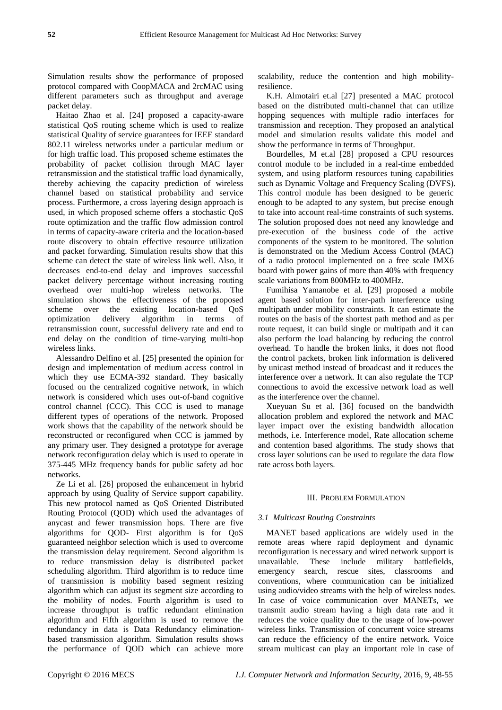Simulation results show the performance of proposed protocol compared with CoopMACA and 2rcMAC using different parameters such as throughput and average packet delay.

Haitao Zhao et al. [24] proposed a capacity-aware statistical QoS routing scheme which is used to realize statistical Quality of service guarantees for IEEE standard 802.11 wireless networks under a particular medium or for high traffic load. This proposed scheme estimates the probability of packet collision through MAC layer retransmission and the statistical traffic load dynamically, thereby achieving the capacity prediction of wireless channel based on statistical probability and service process. Furthermore, a cross layering design approach is used, in which proposed scheme offers a stochastic QoS route optimization and the traffic flow admission control in terms of capacity-aware criteria and the location-based route discovery to obtain effective resource utilization and packet forwarding. Simulation results show that this scheme can detect the state of wireless link well. Also, it decreases end-to-end delay and improves successful packet delivery percentage without increasing routing overhead over multi-hop wireless networks. The simulation shows the effectiveness of the proposed scheme over the existing location-based QoS optimization delivery algorithm in terms of retransmission count, successful delivery rate and end to end delay on the condition of time-varying multi-hop wireless links.

Alessandro Delfino et al. [25] presented the opinion for design and implementation of medium access control in which they use ECMA-392 standard. They basically focused on the centralized cognitive network, in which network is considered which uses out-of-band cognitive control channel (CCC). This CCC is used to manage different types of operations of the network. Proposed work shows that the capability of the network should be reconstructed or reconfigured when CCC is jammed by any primary user. They designed a prototype for average network reconfiguration delay which is used to operate in 375-445 MHz frequency bands for public safety ad hoc networks.

Ze Li et al. [26] proposed the enhancement in hybrid approach by using Quality of Service support capability. This new protocol named as QoS Oriented Distributed Routing Protocol (QOD) which used the advantages of anycast and fewer transmission hops. There are five algorithms for QOD- First algorithm is for QoS guaranteed neighbor selection which is used to overcome the transmission delay requirement. Second algorithm is to reduce transmission delay is distributed packet scheduling algorithm. Third algorithm is to reduce time of transmission is mobility based segment resizing algorithm which can adjust its segment size according to the mobility of nodes. Fourth algorithm is used to increase throughput is traffic redundant elimination algorithm and Fifth algorithm is used to remove the redundancy in data is Data Redundancy eliminationbased transmission algorithm. Simulation results shows the performance of QOD which can achieve more

scalability, reduce the contention and high mobilityresilience.

K.H. Almotairi et.al [27] presented a MAC protocol based on the distributed multi-channel that can utilize hopping sequences with multiple radio interfaces for transmission and reception. They proposed an analytical model and simulation results validate this model and show the performance in terms of Throughput.

Bourdelles, M et.al [28] proposed a CPU resources control module to be included in a real-time embedded system, and using platform resources tuning capabilities such as Dynamic Voltage and Frequency Scaling (DVFS). This control module has been designed to be generic enough to be adapted to any system, but precise enough to take into account real-time constraints of such systems. The solution proposed does not need any knowledge and pre-execution of the business code of the active components of the system to be monitored. The solution is demonstrated on the Medium Access Control (MAC) of a radio protocol implemented on a free scale IMX6 board with power gains of more than 40% with frequency scale variations from 800MHz to 400MHz.

Fumihisa Yamanobe et al. [29] proposed a mobile agent based solution for inter-path interference using multipath under mobility constraints. It can estimate the routes on the basis of the shortest path method and as per route request, it can build single or multipath and it can also perform the load balancing by reducing the control overhead. To handle the broken links, it does not flood the control packets, broken link information is delivered by unicast method instead of broadcast and it reduces the interference over a network. It can also regulate the TCP connections to avoid the excessive network load as well as the interference over the channel.

Xueyuan Su et al. [36] focused on the bandwidth allocation problem and explored the network and MAC layer impact over the existing bandwidth allocation methods, i.e. Interference model, Rate allocation scheme and contention based algorithms. The study shows that cross layer solutions can be used to regulate the data flow rate across both layers.

## III. PROBLEM FORMULATION

#### *3.1 Multicast Routing Constraints*

MANET based applications are widely used in the remote areas where rapid deployment and dynamic reconfiguration is necessary and wired network support is unavailable. These include military battlefields, emergency search, rescue sites, classrooms and conventions, where communication can be initialized using audio/video streams with the help of wireless nodes. In case of voice communication over MANETs, we transmit audio stream having a high data rate and it reduces the voice quality due to the usage of low-power wireless links. Transmission of concurrent voice streams can reduce the efficiency of the entire network. Voice stream multicast can play an important role in case of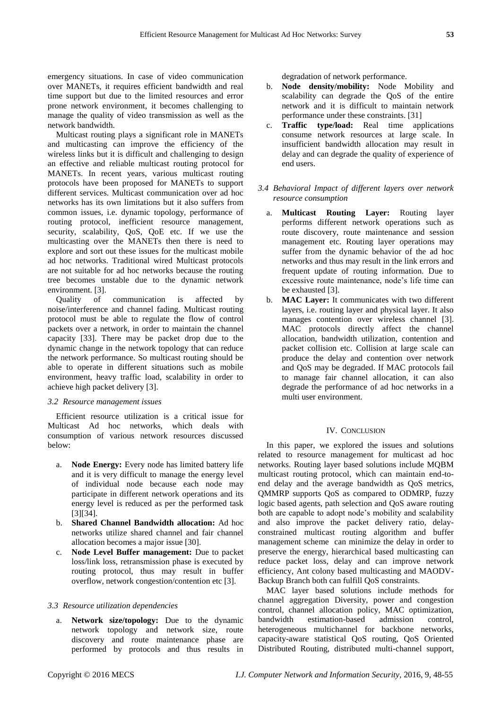emergency situations. In case of video communication over MANETs, it requires efficient bandwidth and real time support but due to the limited resources and error prone network environment, it becomes challenging to manage the quality of video transmission as well as the network bandwidth.

Multicast routing plays a significant role in MANETs and multicasting can improve the efficiency of the wireless links but it is difficult and challenging to design an effective and reliable multicast routing protocol for MANETs. In recent years, various multicast routing protocols have been proposed for MANETs to support different services. Multicast communication over ad hoc networks has its own limitations but it also suffers from common issues, i.e. dynamic topology, performance of routing protocol, inefficient resource management, security, scalability, QoS, QoE etc. If we use the multicasting over the MANETs then there is need to explore and sort out these issues for the multicast mobile ad hoc networks. Traditional wired Multicast protocols are not suitable for ad hoc networks because the routing tree becomes unstable due to the dynamic network environment. [3].

Quality of communication is affected by noise/interference and channel fading. Multicast routing protocol must be able to regulate the flow of control packets over a network, in order to maintain the channel capacity [33]. There may be packet drop due to the dynamic change in the network topology that can reduce the network performance. So multicast routing should be able to operate in different situations such as mobile environment, heavy traffic load, scalability in order to achieve high packet delivery [3].

## *3.2 Resource management issues*

Efficient resource utilization is a critical issue for Multicast Ad hoc networks, which deals with consumption of various network resources discussed below:

- a. **Node Energy:** Every node has limited battery life and it is very difficult to manage the energy level of individual node because each node may participate in different network operations and its energy level is reduced as per the performed task [3][34].
- b. **Shared Channel Bandwidth allocation:** Ad hoc networks utilize shared channel and fair channel allocation becomes a major issue [30].
- c. **Node Level Buffer management:** Due to packet loss/link loss, retransmission phase is executed by routing protocol, thus may result in buffer overflow, network congestion/contention etc [3].

# *3.3 Resource utilization dependencies*

a. **Network size/topology:** Due to the dynamic network topology and network size, route discovery and route maintenance phase are performed by protocols and thus results in degradation of network performance.

- b. **Node density/mobility:** Node Mobility and scalability can degrade the QoS of the entire network and it is difficult to maintain network performance under these constraints. [31]
- c. **Traffic type/load:** Real time applications consume network resources at large scale. In insufficient bandwidth allocation may result in delay and can degrade the quality of experience of end users.

# *3.4 Behavioral Impact of different layers over network resource consumption*

- a. **Multicast Routing Layer:** Routing layer performs different network operations such as route discovery, route maintenance and session management etc. Routing layer operations may suffer from the dynamic behavior of the ad hoc networks and thus may result in the link errors and frequent update of routing information. Due to excessive route maintenance, node's life time can be exhausted [3].
- b. **MAC Layer:** It communicates with two different layers, i.e. routing layer and physical layer. It also manages contention over wireless channel [3]. MAC protocols directly affect the channel allocation, bandwidth utilization, contention and packet collision etc. Collision at large scale can produce the delay and contention over network and QoS may be degraded. If MAC protocols fail to manage fair channel allocation, it can also degrade the performance of ad hoc networks in a multi user environment.

# IV. CONCLUSION

In this paper, we explored the issues and solutions related to resource management for multicast ad hoc networks. Routing layer based solutions include MQBM multicast routing protocol, which can maintain end-toend delay and the average bandwidth as QoS metrics, QMMRP supports QoS as compared to ODMRP, fuzzy logic based agents, path selection and QoS aware routing both are capable to adopt node's mobility and scalability and also improve the packet delivery ratio, delayconstrained multicast routing algorithm and buffer management scheme can minimize the delay in order to preserve the energy, hierarchical based multicasting can reduce packet loss, delay and can improve network efficiency, Ant colony based multicasting and MAODV-Backup Branch both can fulfill QoS constraints.

MAC layer based solutions include methods for channel aggregation Diversity, power and congestion control, channel allocation policy, MAC optimization, bandwidth estimation-based admission control, heterogeneous multichannel for backbone networks, capacity-aware statistical QoS routing, QoS Oriented Distributed Routing, distributed multi-channel support,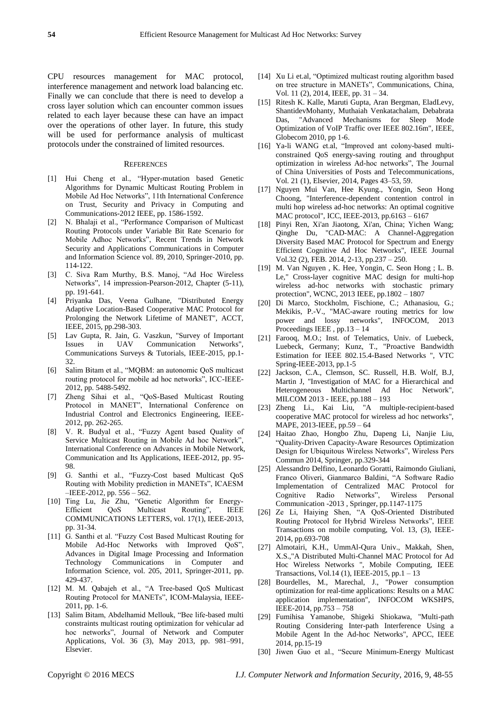CPU resources management for MAC protocol, interference management and network load balancing etc. Finally we can conclude that there is need to develop a cross layer solution which can encounter common issues related to each layer because these can have an impact over the operations of other layer. In future, this study will be used for performance analysis of multicast protocols under the constrained of limited resources.

## **REFERENCES**

- [1] Hui Cheng et al., "Hyper-mutation based Genetic Algorithms for Dynamic Multicast Routing Problem in Mobile Ad Hoc Networks", 11th International Conference on Trust, Security and Privacy in Computing and Communications-2012 IEEE, pp. 1586-1592.
- [2] N. Bhalaji et al., "Performance Comparison of Multicast Routing Protocols under Variable Bit Rate Scenario for Mobile Adhoc Networks", Recent Trends in Network [Security and Applications](http://link.springer.com/book/10.1007/978-3-642-14478-3) [Communications in Computer](http://link.springer.com/bookseries/7899)  [and Information Science](http://link.springer.com/bookseries/7899) vol. 89, 2010, Springer-2010, pp. 114-122.
- [3] C. Siva Ram Murthy, B.S. Manoj, "Ad Hoc Wireless Networks", 14 impression-Pearson-2012, Chapter (5-11), pp. 191-641.
- [4] Priyanka Das, Veena Gulhane, "Distributed Energy Adaptive Location-Based Cooperative MAC Protocol for Prolonging the Network Lifetime of MANET", ACCT, IEEE, 2015, pp.298-303.
- [5] Lav Gupta, R. Jain, G. Vaszkun, "Survey of Important Issues in UAV Communication Networks", Communications Surveys & Tutorials, IEEE-2015, pp.1- 32.
- [6] Salim Bitam et al., "MQBM: an autonomic QoS multicast routing protocol for mobile ad hoc networks", ICC-IEEE-2012, pp. 5488-5492.
- [7] Zheng Sihai et al., "QoS-Based Multicast Routing Protocol in MANET", International Conference on Industrial Control and Electronics Engineering, IEEE-2012, pp. 262-265.
- [8] V. R. Budyal et al., "Fuzzy Agent based Quality of Service Multicast Routing in Mobile Ad hoc Network", International Conference on Advances in Mobile Network, Communication and Its Applications, IEEE-2012, pp. 95- 98.
- [9] G. Santhi et al., "Fuzzy-Cost based Multicast QoS Routing with Mobility prediction in MANETs", ICAESM –IEEE-2012, pp. 556 – 562.
- [10] Ting Lu, Jie Zhu, "Genetic Algorithm for Energy-Efficient QoS Multicast Routing", IEEE COMMUNICATIONS LETTERS, vol. 17(1), IEEE-2013, pp. 31-34.
- [11] G. Santhi et al. "Fuzzy Cost Based Multicast Routing for Mobile Ad-Hoc Networks with Improved QoS", [Advances in Digital Image Processing and Information](http://link.springer.com/book/10.1007/978-3-642-24055-3)  [Technology](http://link.springer.com/book/10.1007/978-3-642-24055-3) [Communications in Computer and](http://link.springer.com/bookseries/7899)  [Information Science,](http://link.springer.com/bookseries/7899) vol. 205, 2011, Springer-2011, pp. 429-437.
- [12] M. M. Qabajeh et al., "A Tree-based QoS Multicast Routing Protocol for MANETs", ICOM-Malaysia, IEEE-2011, pp. 1-6.
- [13] Salim Bitam, Abdelhamid Mellouk, "Bee life-based multi constraints multicast routing optimization for vehicular ad hoc networks", Journal of Network and Computer [Applications,](http://www.sciencedirect.com/science/journal/10848045) [Vol. 36 \(3\)](http://www.sciencedirect.com/science/journal/10848045/36/3), May 2013, pp. 981–991, Elsevier.
- [14] [Xu Li](http://ieeexplore.ieee.org/search/searchresult.jsp?searchWithin=p_Authors:.QT.Xu%20Li.QT.&newsearch=true) et.al. "Optimized multicast routing algorithm based on tree structure in MANETs", Communications, China, Vol. 1[1 \(2\)](http://ieeexplore.ieee.org/xpl/tocresult.jsp?isnumber=6821729), 2014, IEEE, pp. 31 – 34.
- [15] Ritesh K. Kalle, Maruti Gupta, Aran Bergman, EladLevy, ShantidevMohanty, Muthaiah Venkatachalam, Debabrata Das, "Advanced Mechanisms for Sleep Mode Optimization of VoIP Traffic over IEEE 802.16m", IEEE, Globecom 2010, pp 1-6.
- [16] [Ya-li WANG](http://www.sciencedirect.com/science/article/pii/S1005888514602673) et.al, "Improved ant colony-based multiconstrained QoS energy-saving routing and throughput optimization in wireless Ad-hoc networks". The Journal [of China Universities of Posts and Telecommunications,](http://www.sciencedirect.com/science/journal/10058885)  [Vol. 21 \(1\)](http://www.sciencedirect.com/science/journal/10058885/21/1), Elsevier, 2014, Pages 43–53, 59.
- [17] Nguyen Mui Van, Hee Kyung., Yongin, Seon Hong Choong, "Interference-dependent contention control in multi hop wireless ad-hoc networks: An optimal cognitive MAC protocol", ICC, IEEE-2013, pp.6163 – 6167
- [18] Pinyi Ren, Xi'an Jiaotong, Xi'an, China; Yichen Wang; Qinghe Du, "CAD-MAC: A Channel-Aggregation Diversity Based MAC Protocol for Spectrum and Energy Efficient Cognitive Ad Hoc Networks", IEEE Journal Vol.32 (2), FEB. 2014, 2-13, pp.237 – 250.
- [19] M. Van Nguyen , K. Hee, Yongin, C. Seon Hong ; L. B. Le," Cross-layer cognitive MAC design for multi-hop wireless ad-hoc networks with stochastic primary protection", WCNC, 2013 IEEE, pp.1802 – 1807
- [20] Di Marco, Stockholm, Fischione, C.; Athanasiou, G.; Mekikis, P.-V., "MAC-aware routing metrics for low power and lossy networks", INFOCOM, 2013 Proceedings IEEE , pp.13 – 14
- [21] Farooq, M.O.; Inst. of Telematics, Univ. of Luebeck, Luebeck, Germany; Kunz, T., "Proactive Bandwidth Estimation for IEEE 802.15.4-Based Networks ", VTC Spring-IEEE-2013, pp.1-5
- [22] Jackson, C.A., Clemson, SC. Russell, H.B. Wolf, B.J, Martin J, "Investigation of MAC for a Hierarchical and Heterogeneous Multichannel Ad Hoc Network", MILCOM 2013 - IEEE, pp.188 – 193
- [23] Zheng Li., Kai Liu, "A multiple-recipient-based cooperative MAC protocol for wireless ad hoc networks", MAPE, 2013-IEEE, pp.59 – 64
- [24] Haitao Zhao, Hongbo Zhu, Dapeng Li, Nanjie Liu, ―Quality-Driven Capacity-Aware Resources Optimization Design for Ubiquitous Wireless Networks", Wireless Pers Commun 2014, Springer, pp.329-344
- [25] Alessandro Delfino, Leonardo Goratti, Raimondo Giuliani, Franco Oliveri, Gianmarco Baldini, "A Software Radio Implementation of Centralized MAC Protocol for Cognitive Radio Networks". Wireless Personal Communication -2013 , Springer, pp.1147-1175
- [26] Ze Li, Haiying Shen, "A QoS-Oriented Distributed Routing Protocol for Hybrid Wireless Networks", IEEE Transactions on mobile computing, Vol. 13, (3), IEEE-2014, pp.693-708
- [27] Almotairi, K.H., UmmAl-Qura Univ., Makkah, Shen, X.S.,"A Distributed Multi-Channel MAC Protocol for Ad Hoc Wireless Networks ", Mobile Computing, IEEE Transactions, Vol.14 (1), IEEE-2015, pp.1 – 13
- [28] Bourdelles, M., Marechal, J., "Power consumption optimization for real-time applications: Results on a MAC application implementation", INFOCOM WKSHPS, IEEE-2014, pp.753 – 758
- [29] Fumihisa Yamanobe, Shigeki Shiokawa, "Multi-path Routing Considering Inter-path Interference Using a Mobile Agent In the Ad-hoc Networks", APCC, IEEE 2014, pp.15-19
- [30] Jiwen Guo et al., "Secure Minimum-Energy Multicast